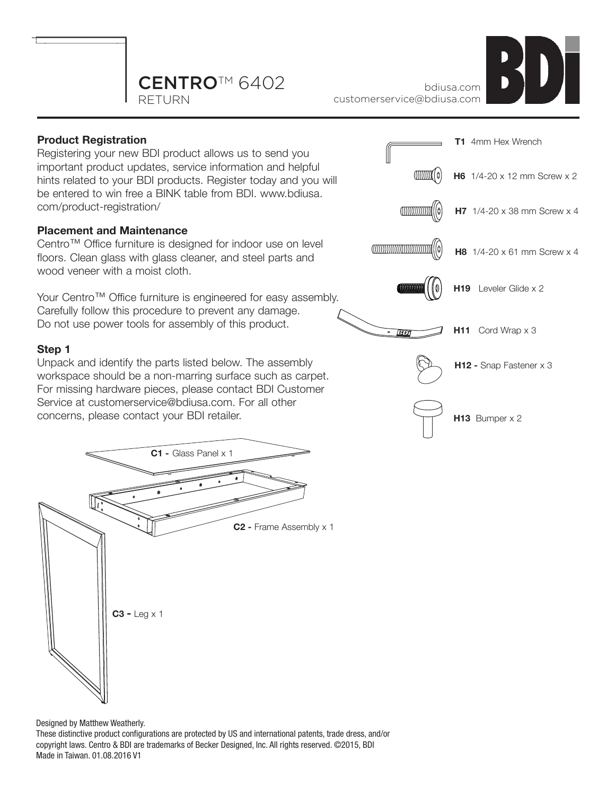



## **Product Registration**

Registering your new BDI product allows us to send you important product updates, service information and helpful hints related to your BDI products. Register today and you will be entered to win free a BINK table from BDI. www.bdiusa. com/product-registration/

## **Placement and Maintenance**

Centro™ Office furniture is designed for indoor use on level floors. Clean glass with glass cleaner, and steel parts and wood veneer with a moist cloth.

Your Centro™ Office furniture is engineered for easy assembly. Carefully follow this procedure to prevent any damage. Do not use power tools for assembly of this product.

## **Step 1**

Unpack and identify the parts listed below. The assembly workspace should be a non-marring surface such as carpet. For missing hardware pieces, please contact BDI Customer Service at customerservice@bdiusa.com. For all other concerns, please contact your BDI retailer.





**H13** Bumper x 2

Designed by Matthew Weatherly.

These distinctive product configurations are protected by US and international patents, trade dress, and/or copyright laws. Centro & BDI are trademarks of Becker Designed, Inc. All rights reserved. ©2015, BDI Made in Taiwan. 01.08.2016 V1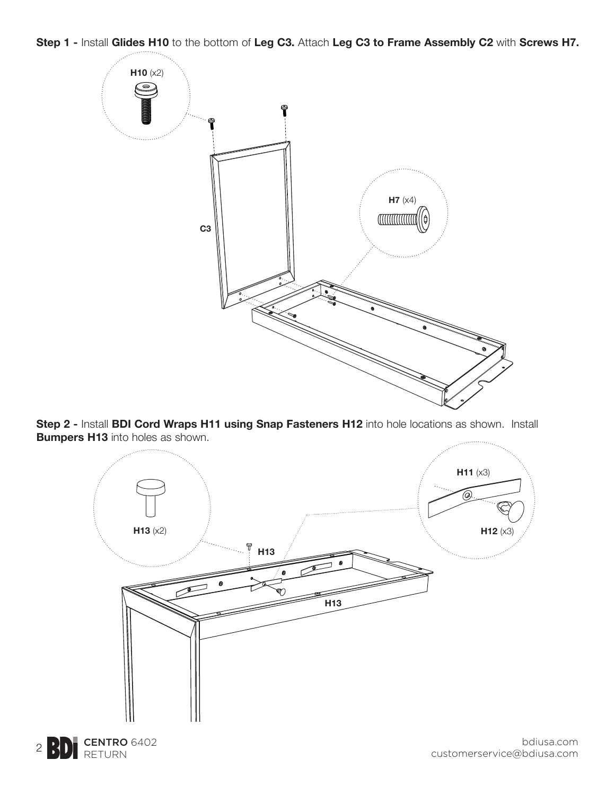**Step 1 -** Install **Glides H10** to the bottom of **Leg C3.** Attach **Leg C3 to Frame Assembly C2** with **Screws H7.**



**Step 2 -** Install **BDI Cord Wraps H11 using Snap Fasteners H12** into hole locations as shown. Install **Bumpers H13** into holes as shown.